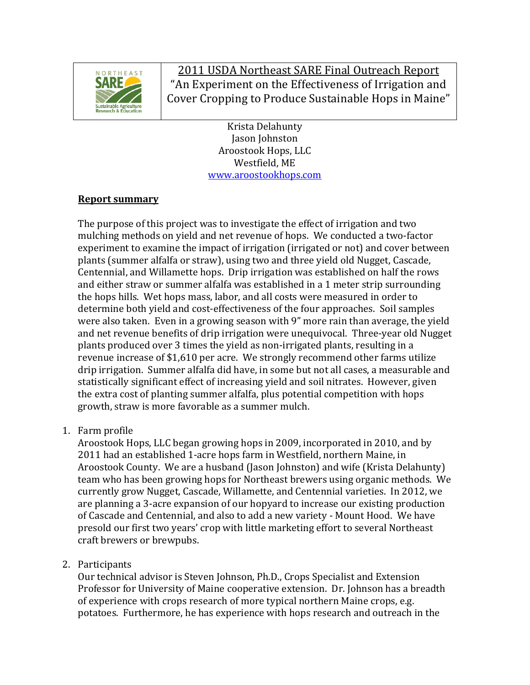

2011 USDA Northeast SARE Final Outreach Report "An Experiment on the Effectiveness of Irrigation and Cover Cropping to Produce Sustainable Hops in Maine"

> Krista!Delahunty Jason Johnston Aroostook Hops, LLC Westfield, ME www.aroostookhops.com

## **Report summary**

The purpose of this project was to investigate the effect of irrigation and two mulching methods on yield and net revenue of hops. We conducted a two-factor experiment to examine the impact of irrigation (irrigated or not) and cover between plants (summer alfalfa or straw), using two and three yield old Nugget, Cascade, Centennial, and Willamette hops. Drip irrigation was established on half the rows and either straw or summer alfalfa was established in a 1 meter strip surrounding the hops hills. Wet hops mass, labor, and all costs were measured in order to determine both yield and cost-effectiveness of the four approaches. Soil samples were also taken. Even in a growing season with 9" more rain than average, the yield and net revenue benefits of drip irrigation were unequivocal. Three-year old Nugget plants produced over 3 times the yield as non-irrigated plants, resulting in a revenue increase of \$1,610 per acre. We strongly recommend other farms utilize drip irrigation. Summer alfalfa did have, in some but not all cases, a measurable and statistically significant effect of increasing yield and soil nitrates. However, given the extra cost of planting summer alfalfa, plus potential competition with hops growth, straw is more favorable as a summer mulch.

1. Farm profile

Aroostook Hops, LLC began growing hops in 2009, incorporated in 2010, and by 2011 had an established 1-acre hops farm in Westfield, northern Maine, in Aroostook County. We are a husband (Jason Johnston) and wife (Krista Delahunty). team who has been growing hops for Northeast brewers using organic methods. We currently grow Nugget, Cascade, Willamette, and Centennial varieties. In 2012, we are planning a 3-acre expansion of our hopyard to increase our existing production of Cascade and Centennial, and also to add a new variety - Mount Hood. We have presold our first two years' crop with little marketing effort to several Northeast craft brewers or brewpubs.

## 2. Participants

Our technical advisor is Steven Johnson, Ph.D., Crops Specialist and Extension Professor for University of Maine cooperative extension. Dr. Johnson has a breadth of experience with crops research of more typical northern Maine crops, e.g. potatoes. Furthermore, he has experience with hops research and outreach in the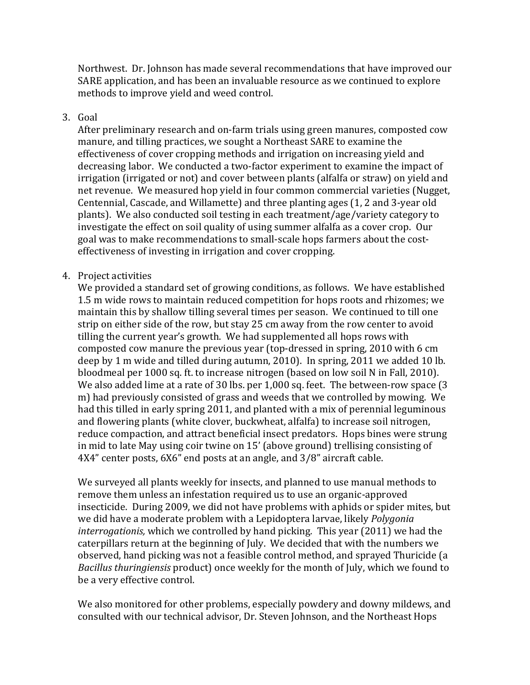Northwest. Dr. Johnson has made several recommendations that have improved our SARE application, and has been an invaluable resource as we continued to explore methods to improve vield and weed control.

### 3. Goal

After preliminary research and on-farm trials using green manures, composted cow manure, and tilling practices, we sought a Northeast SARE to examine the effectiveness of cover cropping methods and irrigation on increasing yield and decreasing labor. We conducted a two-factor experiment to examine the impact of irrigation (irrigated or not) and cover between plants (alfalfa or straw) on yield and net revenue. We measured hop yield in four common commercial varieties (Nugget, Centennial, Cascade, and Willamette) and three planting ages (1, 2 and 3-year old plants). We also conducted soil testing in each treatment/age/variety category to investigate the effect on soil quality of using summer alfalfa as a cover crop. Our goal was to make recommendations to small-scale hops farmers about the costeffectiveness of investing in irrigation and cover cropping.

#### 4. Project activities

We provided a standard set of growing conditions, as follows. We have established 1.5 m wide rows to maintain reduced competition for hops roots and rhizomes; we maintain this by shallow tilling several times per season. We continued to till one strip on either side of the row, but stay 25 cm away from the row center to avoid tilling the current year's growth. We had supplemented all hops rows with composted cow manure the previous year (top-dressed in spring, 2010 with 6 cm deep by 1 m wide and tilled during autumn, 2010). In spring, 2011 we added 10 lb. bloodmeal per 1000 sq. ft. to increase nitrogen (based on low soil N in Fall, 2010). We also added lime at a rate of 30 lbs. per 1,000 sq. feet. The between-row space (3 m) had previously consisted of grass and weeds that we controlled by mowing. We had this tilled in early spring 2011, and planted with a mix of perennial leguminous and flowering plants (white clover, buckwheat, alfalfa) to increase soil nitrogen, reduce compaction, and attract beneficial insect predators. Hops bines were strung in mid to late May using coir twine on 15' (above ground) trellising consisting of 4X4" center posts, 6X6" end posts at an angle, and 3/8" aircraft cable.

We surveyed all plants weekly for insects, and planned to use manual methods to remove them unless an infestation required us to use an organic-approved insecticide. During 2009, we did not have problems with aphids or spider mites, but we did have a moderate problem with a Lepidoptera larvae, likely *Polygonia interrogationis,* which we controlled by hand picking. This year (2011) we had the caterpillars return at the beginning of July. We decided that with the numbers we observed, hand picking was not a feasible control method, and sprayed Thuricide (a *Bacillus thuringiensis* product) once weekly for the month of July, which we found to be a very effective control.

We also monitored for other problems, especially powdery and downy mildews, and consulted with our technical advisor, Dr. Steven Johnson, and the Northeast Hops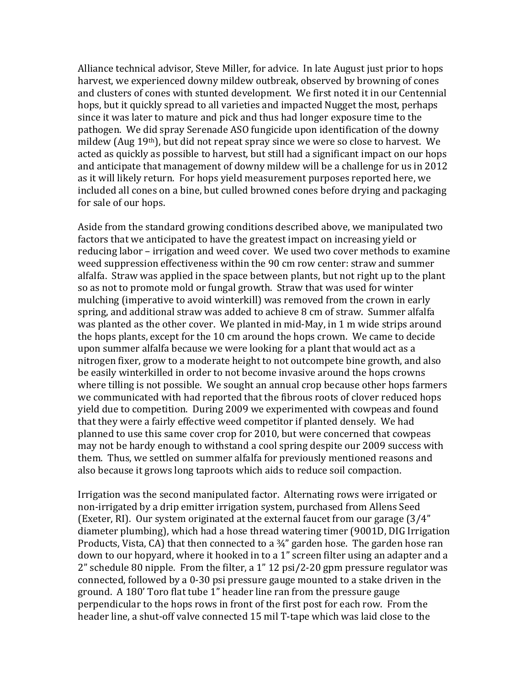Alliance technical advisor, Steve Miller, for advice. In late August just prior to hops harvest, we experienced downy mildew outbreak, observed by browning of cones and clusters of cones with stunted development. We first noted it in our Centennial hops, but it quickly spread to all varieties and impacted Nugget the most, perhaps since it was later to mature and pick and thus had longer exposure time to the pathogen. We did spray Serenade ASO fungicide upon identification of the downy mildew (Aug  $19<sup>th</sup>$ ), but did not repeat spray since we were so close to harvest. We acted as quickly as possible to harvest, but still had a significant impact on our hops and anticipate that management of downy mildew will be a challenge for us in 2012 as it will likely return. For hops yield measurement purposes reported here, we included all cones on a bine, but culled browned cones before drying and packaging for sale of our hops.

Aside from the standard growing conditions described above, we manipulated two factors that we anticipated to have the greatest impact on increasing vield or reducing labor – irrigation and weed cover. We used two cover methods to examine weed suppression effectiveness within the 90 cm row center: straw and summer alfalfa. Straw was applied in the space between plants, but not right up to the plant so as not to promote mold or fungal growth. Straw that was used for winter mulching (imperative to avoid winterkill) was removed from the crown in early spring, and additional straw was added to achieve 8 cm of straw. Summer alfalfa was planted as the other cover. We planted in mid-May, in 1 m wide strips around the hops plants, except for the 10 cm around the hops crown. We came to decide upon summer alfalfa because we were looking for a plant that would act as a nitrogen fixer, grow to a moderate height to not outcompete bine growth, and also be easily winterkilled in order to not become invasive around the hops crowns where tilling is not possible. We sought an annual crop because other hops farmers we communicated with had reported that the fibrous roots of clover reduced hops yield due to competition. During 2009 we experimented with cowpeas and found that they were a fairly effective weed competitor if planted densely. We had planned to use this same cover crop for 2010, but were concerned that cowpeas may not be hardy enough to withstand a cool spring despite our 2009 success with them. Thus, we settled on summer alfalfa for previously mentioned reasons and also because it grows long taproots which aids to reduce soil compaction.

Irrigation was the second manipulated factor. Alternating rows were irrigated or non-irrigated by a drip emitter irrigation system, purchased from Allens Seed (Exeter, RI). Our system originated at the external faucet from our garage  $(3/4"$ diameter plumbing), which had a hose thread watering timer (9001D, DIG Irrigation Products, Vista, CA) that then connected to a  $\frac{3}{4}$ " garden hose. The garden hose ran down to our hopyard, where it hooked in to a 1" screen filter using an adapter and a 2" schedule 80 nipple. From the filter, a  $1"$  12 psi/2-20 gpm pressure regulator was connected, followed by a 0-30 psi pressure gauge mounted to a stake driven in the ground. A 180' Toro flat tube 1" header line ran from the pressure gauge perpendicular to the hops rows in front of the first post for each row. From the header line, a shut-off valve connected 15 mil T-tape which was laid close to the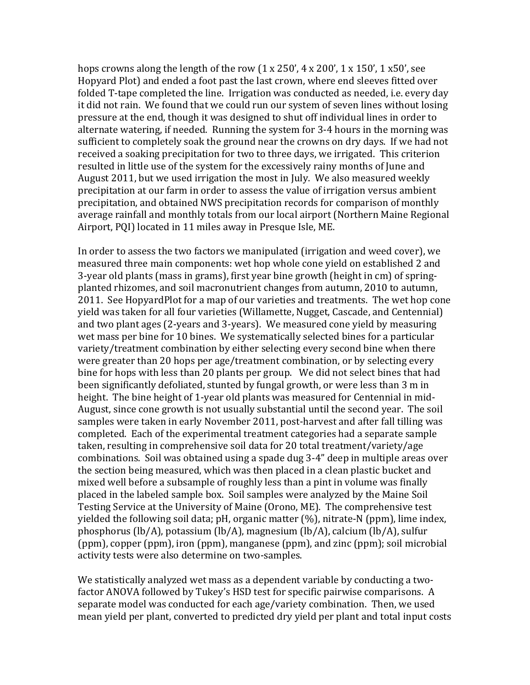hops crowns along the length of the row  $(1 \times 250'$ ,  $4 \times 200'$ ,  $1 \times 150'$ , 1 $\times 50'$ , see Hopyard Plot) and ended a foot past the last crown, where end sleeves fitted over folded T-tape completed the line. Irrigation was conducted as needed, i.e. every day it did not rain. We found that we could run our system of seven lines without losing pressure at the end, though it was designed to shut off individual lines in order to alternate watering, if needed. Running the system for 3-4 hours in the morning was sufficient to completely soak the ground near the crowns on dry days. If we had not received a soaking precipitation for two to three days, we irrigated. This criterion resulted in little use of the system for the excessively rainy months of June and August 2011, but we used irrigation the most in July. We also measured weekly precipitation at our farm in order to assess the value of irrigation versus ambient precipitation, and obtained NWS precipitation records for comparison of monthly average rainfall and monthly totals from our local airport (Northern Maine Regional Airport, PQI) located in 11 miles away in Presque Isle, ME.

In order to assess the two factors we manipulated (irrigation and weed cover), we measured three main components: wet hop whole cone vield on established 2 and 3-year old plants (mass in grams), first year bine growth (height in cm) of springplanted rhizomes, and soil macronutrient changes from autumn, 2010 to autumn, 2011. See HopyardPlot for a map of our varieties and treatments. The wet hop cone yield was taken for all four varieties (Willamette, Nugget, Cascade, and Centennial) and two plant ages (2-years and 3-years). We measured cone yield by measuring wet mass per bine for 10 bines. We systematically selected bines for a particular variety/treatment combination by either selecting every second bine when there were greater than 20 hops per age/treatment combination, or by selecting every bine for hops with less than 20 plants per group. We did not select bines that had been significantly defoliated, stunted by fungal growth, or were less than 3 m in height. The bine height of 1-year old plants was measured for Centennial in mid-August, since cone growth is not usually substantial until the second year. The soil samples were taken in early November 2011, post-harvest and after fall tilling was completed. Each of the experimental treatment categories had a separate sample taken, resulting in comprehensive soil data for 20 total treatment/variety/age combinations. Soil was obtained using a spade dug 3-4" deep in multiple areas over the section being measured, which was then placed in a clean plastic bucket and mixed well before a subsample of roughly less than a pint in volume was finally placed in the labeled sample box. Soil samples were analyzed by the Maine Soil Testing Service at the University of Maine (Orono, ME). The comprehensive test yielded the following soil data; pH, organic matter  $(\%)$ , nitrate-N (ppm), lime index, phosphorus (lb/A), potassium (lb/A), magnesium (lb/A), calcium (lb/A), sulfur  $(ppm)$ , copper (ppm), iron (ppm), manganese (ppm), and zinc (ppm); soil microbial activity tests were also determine on two-samples.

We statistically analyzed wet mass as a dependent variable by conducting a twofactor ANOVA followed by Tukey's HSD test for specific pairwise comparisons. A separate model was conducted for each age/variety combination. Then, we used mean yield per plant, converted to predicted dry yield per plant and total input costs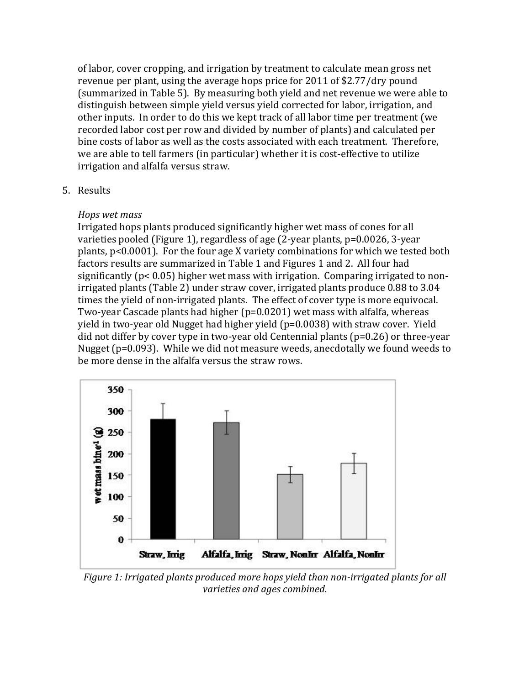of labor, cover cropping, and irrigation by treatment to calculate mean gross net revenue per plant, using the average hops price for 2011 of \$2.77/dry pound (summarized in Table 5). By measuring both yield and net revenue we were able to distinguish between simple yield versus yield corrected for labor, irrigation, and other inputs. In order to do this we kept track of all labor time per treatment (we recorded labor cost per row and divided by number of plants) and calculated per bine costs of labor as well as the costs associated with each treatment. Therefore, we are able to tell farmers (in particular) whether it is cost-effective to utilize irrigation and alfalfa versus straw.

## 5. Results

## *Hops)wet)mass*

Irrigated hops plants produced significantly higher wet mass of cones for all varieties pooled (Figure 1), regardless of age (2-year plants,  $p=0.0026$ , 3-year plants,  $p<0.0001$ ). For the four age X variety combinations for which we tested both factors results are summarized in Table 1 and Figures 1 and 2. All four had significantly ( $p < 0.05$ ) higher wet mass with irrigation. Comparing irrigated to nonirrigated plants (Table 2) under straw cover, irrigated plants produce 0.88 to 3.04 times the yield of non-irrigated plants. The effect of cover type is more equivocal. Two-year Cascade plants had higher ( $p=0.0201$ ) wet mass with alfalfa, whereas yield in two-year old Nugget had higher yield ( $p=0.0038$ ) with straw cover. Yield did not differ by cover type in two-year old Centennial plants ( $p=0.26$ ) or three-year Nugget ( $p=0.093$ ). While we did not measure weeds, anecdotally we found weeds to be more dense in the alfalfa versus the straw rows.



*Figure 1: Irrigated plants produced more hops yield than non-irrigated plants for all varieties and ages combined.*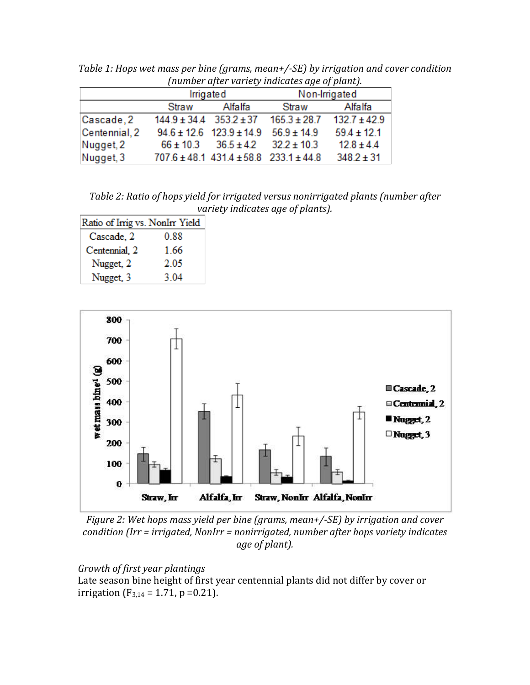|               |                                 | Irrigated                                          |                  | Non-Irrigated    |
|---------------|---------------------------------|----------------------------------------------------|------------------|------------------|
|               | Straw                           | Alfalfa                                            | Straw            | Alfalfa          |
| Cascade, 2    | $144.9 \pm 34.4$ $353.2 \pm 37$ |                                                    | $165.3 \pm 28.7$ | $132.7 \pm 42.9$ |
| Centennial, 2 |                                 | $94.6 \pm 12.6$ 123.9 $\pm$ 14.9                   | $56.9 \pm 14.9$  | $59.4 \pm 12.1$  |
| Nugget, 2     |                                 | $66 \pm 10.3$ $36.5 \pm 4.2$                       | $32.2 \pm 10.3$  | $12.8 \pm 4.4$   |
| Nugget, 3     |                                 | $707.6 \pm 48.1$ 431.4 $\pm 58.8$ 233.1 $\pm 44.8$ |                  | $348.2 \pm 31$   |

*Table 1: Hops wet mass per bine (grams, mean+/-SE) by irrigation and cover condition (number after variety indicates age of plant).* 

Table 2: Ratio of hops yield for irrigated versus nonirrigated plants (number after *variety indicates age of plants).* 

| Ratio of Irrig vs. NonIrr Yield |      |
|---------------------------------|------|
| Cascade, 2                      | 0.88 |
| Centennial, 2                   | 1.66 |
| Nugget, 2                       | 2.05 |
| Nugget, 3                       | 3.04 |



*Figure 2: Wet hops mass yield per bine (grams, mean+/-SE) by irrigation and cover* condition (Irr = irrigated, NonIrr = nonirrigated, number after hops variety indicates *age of plant).* 

## *Growth of first year plantings*

Late season bine height of first year centennial plants did not differ by cover or irrigation (F<sub>3,14</sub> = 1.71, p = 0.21).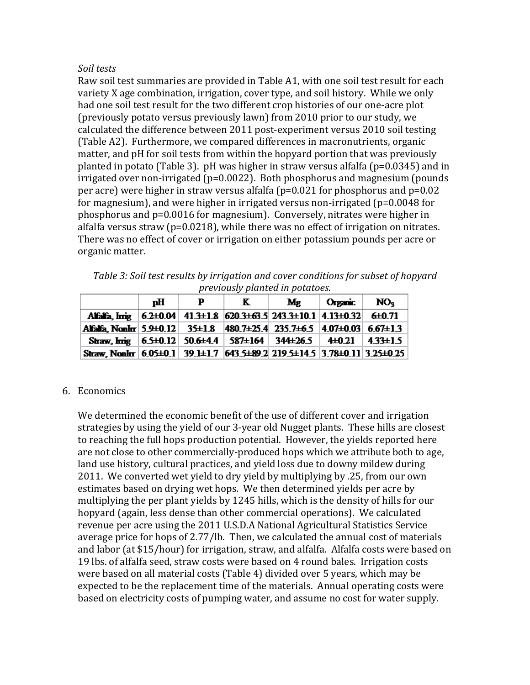### *Soil)tests*

Raw soil test summaries are provided in Table A1, with one soil test result for each variety X age combination, irrigation, cover type, and soil history. While we only had one soil test result for the two different crop histories of our one-acre plot (previously potato versus previously lawn) from 2010 prior to our study, we calculated the difference between 2011 post-experiment versus 2010 soil testing (Table A2). Furthermore, we compared differences in macronutrients, organic matter, and pH for soil tests from within the hopyard portion that was previously planted in potato (Table 3). pH was higher in straw versus alfalfa ( $p=0.0345$ ) and in irrigated over non-irrigated (p=0.0022). Both phosphorus and magnesium (pounds per acre) were higher in straw versus alfalfa ( $p=0.021$  for phosphorus and  $p=0.02$ for magnesium), and were higher in irrigated versus non-irrigated ( $p=0.0048$  for phosphorus and p=0.0016 for magnesium). Conversely, nitrates were higher in alfalfa versus straw (p=0.0218), while there was no effect of irrigation on nitrates. There was no effect of cover or irrigation on either potassium pounds per acre or organic matter.

| NO <sub>u</sub><br>пH<br>Organic  <br>Mg                                            |
|-------------------------------------------------------------------------------------|
| previously planted in potatoes.                                                     |
| Table 3: Soil test results by irrigation and cover conditions for subset of hopyard |

|                                                                                                     | пH | K | Mg | Organic | NO <sub>4</sub> |
|-----------------------------------------------------------------------------------------------------|----|---|----|---------|-----------------|
| Alfalfa, Imig   6.2+0.04   41.3+1.8   620.3+63.5   243.3+10.1   4.13+0.32   6+0.71                  |    |   |    |         |                 |
| Alfalfa, NonIrr   5.9±0.12   35±1.8   480.7±25.4   235.7±6.5   4.07±0.03   6.67±1.3                 |    |   |    |         |                 |
| Straw, Irrig   $6.5\pm0.12$   $50.6\pm4.4$   $587\pm164$   $344\pm26.5$   $4\pm0.21$   $4.33\pm1.5$ |    |   |    |         |                 |
| Straw, NonIrr   6.05±0.1   39.1±1.7   643.5±89.2   219.5±14.5   3.78±0.11   3.25±0.25               |    |   |    |         |                 |

## 6. Economics

We determined the economic benefit of the use of different cover and irrigation strategies by using the yield of our 3-year old Nugget plants. These hills are closest to reaching the full hops production potential. However, the vields reported here are not close to other commercially-produced hops which we attribute both to age, land use history, cultural practices, and yield loss due to downy mildew during 2011. We converted wet yield to dry yield by multiplying by .25, from our own estimates based on drying wet hops. We then determined yields per acre by multiplying the per plant yields by 1245 hills, which is the density of hills for our hopyard (again, less dense than other commercial operations). We calculated revenue per acre using the 2011 U.S.D.A National Agricultural Statistics Service average price for hops of 2.77/lb. Then, we calculated the annual cost of materials and labor (at \$15/hour) for irrigation, straw, and alfalfa. Alfalfa costs were based on 19 lbs. of alfalfa seed, straw costs were based on 4 round bales. Irrigation costs were based on all material costs (Table 4) divided over 5 years, which may be expected to be the replacement time of the materials. Annual operating costs were based on electricity costs of pumping water, and assume no cost for water supply.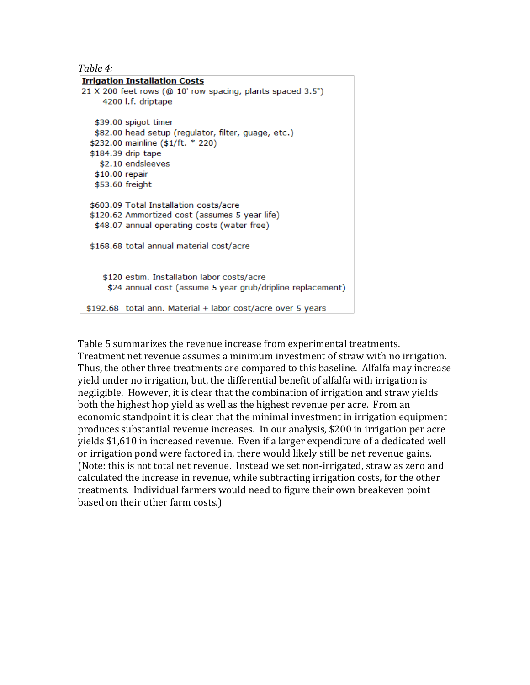| `able<br>$\Delta$ |  |
|-------------------|--|
|-------------------|--|

| <b>Irrigation Installation Costs</b>                        |  |
|-------------------------------------------------------------|--|
| 21 X 200 feet rows (@ 10' row spacing, plants spaced 3.5")  |  |
| 4200 I.f. driptape                                          |  |
|                                                             |  |
| \$39.00 spigot timer                                        |  |
| \$82.00 head setup (regulator, filter, guage, etc.)         |  |
| \$232.00 mainline (\$1/ft. * 220)                           |  |
| \$184.39 drip tape                                          |  |
| \$2.10 endsleeves                                           |  |
| \$10.00 repair                                              |  |
| \$53.60 freight                                             |  |
|                                                             |  |
| \$603.09 Total Installation costs/acre                      |  |
| \$120.62 Ammortized cost (assumes 5 year life)              |  |
| \$48.07 annual operating costs (water free)                 |  |
| \$168.68 total annual material cost/acre                    |  |
|                                                             |  |
| \$120 estim. Installation labor costs/acre                  |  |
| \$24 annual cost (assume 5 year grub/dripline replacement)  |  |
|                                                             |  |
| \$192.68 total ann. Material + labor cost/acre over 5 years |  |

Table 5 summarizes the revenue increase from experimental treatments. Treatment net revenue assumes a minimum investment of straw with no irrigation. Thus, the other three treatments are compared to this baseline. Alfalfa may increase yield under no irrigation, but, the differential benefit of alfalfa with irrigation is negligible. However, it is clear that the combination of irrigation and straw yields both the highest hop yield as well as the highest revenue per acre. From an economic standpoint it is clear that the minimal investment in irrigation equipment produces substantial revenue increases. In our analysis, \$200 in irrigation per acre yields \$1,610 in increased revenue. Even if a larger expenditure of a dedicated well or irrigation pond were factored in, there would likely still be net revenue gains. (Note: this is not total net revenue. Instead we set non-irrigated, straw as zero and calculated the increase in revenue, while subtracting irrigation costs, for the other treatments. Individual farmers would need to figure their own breakeven point based on their other farm costs.)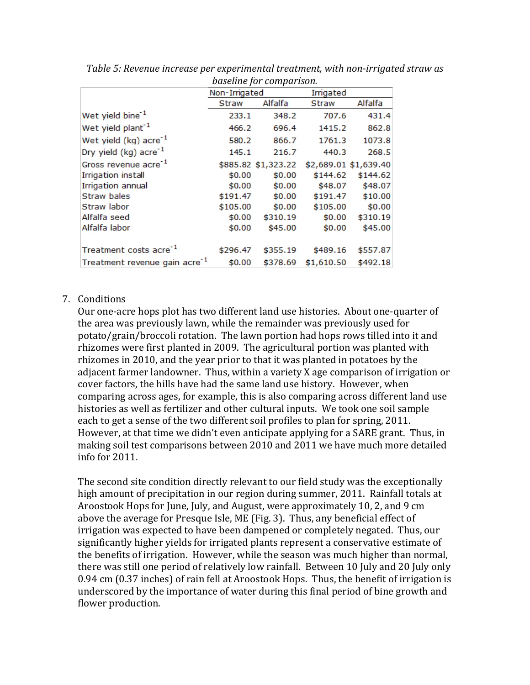|                                           |               | <i><b>DUSCIINE JOF COMPUTISOIL</b></i> |            |                       |
|-------------------------------------------|---------------|----------------------------------------|------------|-----------------------|
|                                           | Non-Irrigated |                                        | Irrigated  |                       |
|                                           | <b>Straw</b>  | Alfalfa                                | Straw      | Alfalfa               |
| Wet yield bine <sup>-1</sup>              | 233.1         | 348.2                                  | 707.6      | 431.4                 |
| Wet yield plant <sup>-1</sup>             | 466.2         | 696.4                                  | 1415.2     | 862.8                 |
| Wet yield $(kg)$ acre <sup>-1</sup>       | 580.2         | 866.7                                  | 1761.3     | 1073.8                |
| Dry yield (kg) acre <sup>-1</sup>         | 145.1         | 216.7                                  | 440.3      | 268.5                 |
| Gross revenue acre <sup>-1</sup>          |               | \$885.82 \$1,323.22                    |            | \$2,689.01 \$1,639.40 |
| Irrigation install                        | \$0.00        | \$0.00                                 | \$144.62   | \$144.62              |
| <b>Irrigation annual</b>                  | \$0.00        | \$0.00                                 | \$48.07    | \$48.07               |
| <b>Straw bales</b>                        | \$191.47      | \$0.00                                 | \$191.47   | \$10.00               |
| Straw labor                               | \$105.00      | \$0.00                                 | \$105.00   | \$0.00                |
| Alfalfa seed                              | \$0.00        | \$310.19                               | \$0.00     | \$310.19              |
| Alfalfa labor                             | \$0.00        | \$45.00                                | \$0.00     | \$45.00               |
| Treatment costs acre <sup>-1</sup>        | \$296.47      | \$355.19                               | \$489.16   | \$557.87              |
|                                           |               |                                        |            |                       |
| Treatment revenue gain acre <sup>-1</sup> | \$0.00        | \$378.69                               | \$1,610.50 | \$492.18              |

Table 5: Revenue increase per experimental treatment, with non-irrigated straw as *baseline)for)comparison.*

## 7. Conditions

Our one-acre hops plot has two different land use histories. About one-quarter of the area was previously lawn, while the remainder was previously used for potato/grain/broccoli rotation. The lawn portion had hops rows tilled into it and rhizomes were first planted in 2009. The agricultural portion was planted with rhizomes in 2010, and the year prior to that it was planted in potatoes by the adjacent farmer landowner. Thus, within a variety X age comparison of irrigation or cover factors, the hills have had the same land use history. However, when comparing across ages, for example, this is also comparing across different land use histories as well as fertilizer and other cultural inputs. We took one soil sample each to get a sense of the two different soil profiles to plan for spring, 2011. However, at that time we didn't even anticipate applying for a SARE grant. Thus, in making soil test comparisons between 2010 and 2011 we have much more detailed info for 2011.

The second site condition directly relevant to our field study was the exceptionally high amount of precipitation in our region during summer, 2011. Rainfall totals at Aroostook Hops for June, July, and August, were approximately 10, 2, and 9 cm above the average for Presque Isle, ME (Fig. 3). Thus, any beneficial effect of irrigation was expected to have been dampened or completely negated. Thus, our significantly higher yields for irrigated plants represent a conservative estimate of the benefits of irrigation. However, while the season was much higher than normal, there was still one period of relatively low rainfall. Between 10 July and 20 July only 0.94 cm (0.37 inches) of rain fell at Aroostook Hops. Thus, the benefit of irrigation is underscored by the importance of water during this final period of bine growth and flower production.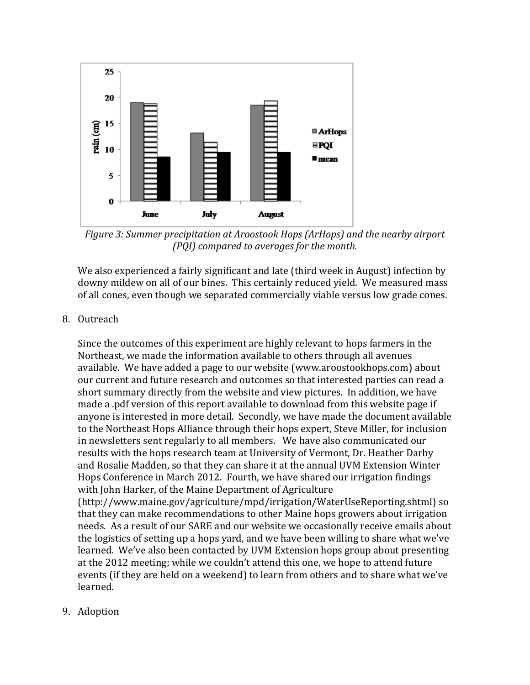

*Figure 3: Summer precipitation at Aroostook Hops (ArHops) and the nearby airport (PQI)* compared to averages for the month.

We also experienced a fairly significant and late (third week in August) infection by downy mildew on all of our bines. This certainly reduced yield. We measured mass of all cones, even though we separated commercially viable versus low grade cones.

## 8. Outreach

Since the outcomes of this experiment are highly relevant to hops farmers in the Northeast, we made the information available to others through all avenues available. We have added a page to our website (www.aroostookhops.com) about our current and future research and outcomes so that interested parties can read a short summary directly from the website and view pictures. In addition, we have made a .pdf version of this report available to download from this website page if anyone is interested in more detail. Secondly, we have made the document available to the Northeast Hops Alliance through their hops expert, Steve Miller, for inclusion in newsletters sent regularly to all members. We have also communicated our results with the hops research team at University of Vermont, Dr. Heather Darby and Rosalie Madden, so that they can share it at the annual UVM Extension Winter Hops Conference in March 2012. Fourth, we have shared our irrigation findings with John Harker, of the Maine Department of Agriculture (http://www.maine.gov/agriculture/mpd/irrigation/WaterUseReporting.shtml) so that they can make recommendations to other Maine hops growers about irrigation needs. As a result of our SARE and our website we occasionally receive emails about the logistics of setting up a hops yard, and we have been willing to share what we've learned. We've also been contacted by UVM Extension hops group about presenting at the 2012 meeting; while we couldn't attend this one, we hope to attend future events (if they are held on a weekend) to learn from others and to share what we've

9. Adoption

learned.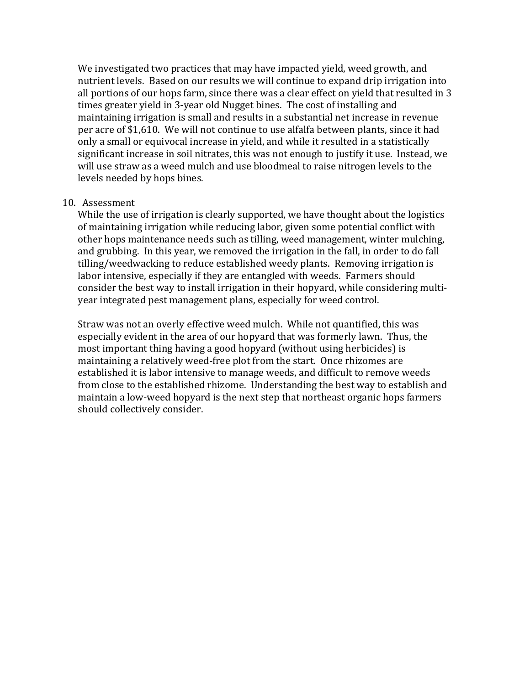We investigated two practices that may have impacted yield, weed growth, and nutrient levels. Based on our results we will continue to expand drip irrigation into all portions of our hops farm, since there was a clear effect on yield that resulted in 3 times greater yield in 3-year old Nugget bines. The cost of installing and maintaining irrigation is small and results in a substantial net increase in revenue per acre of \$1,610. We will not continue to use alfalfa between plants, since it had only a small or equivocal increase in yield, and while it resulted in a statistically significant increase in soil nitrates, this was not enough to justify it use. Instead, we will use straw as a weed mulch and use bloodmeal to raise nitrogen levels to the levels needed by hops bines.

#### 10. Assessment

While the use of irrigation is clearly supported, we have thought about the logistics of maintaining irrigation while reducing labor, given some potential conflict with other hops maintenance needs such as tilling, weed management, winter mulching, and grubbing. In this year, we removed the irrigation in the fall, in order to do fall tilling/weedwacking to reduce established weedy plants. Removing irrigation is labor intensive, especially if they are entangled with weeds. Farmers should consider the best way to install irrigation in their hopyard, while considering multiyear integrated pest management plans, especially for weed control.

Straw was not an overly effective weed mulch. While not quantified, this was especially evident in the area of our hopyard that was formerly lawn. Thus, the most important thing having a good hopyard (without using herbicides) is maintaining a relatively weed-free plot from the start. Once rhizomes are established it is labor intensive to manage weeds, and difficult to remove weeds from close to the established rhizome. Understanding the best way to establish and maintain a low-weed hopyard is the next step that northeast organic hops farmers should collectively consider.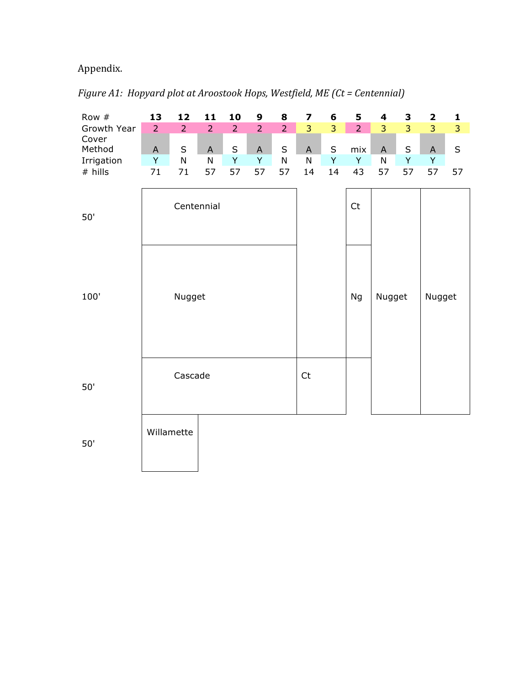# Appendix.

| Figure A1: Hopyard plot at Aroostook Hops, Westfield, ME (Ct = Centennial) |  |
|----------------------------------------------------------------------------|--|
|                                                                            |  |

| Row #           | 13             | 12             | 11             | 10             | 9                         | 8              | 7              | 6       | 5                      | $\overline{\mathbf{4}}$ | 3              | $\mathbf 2$    | 1              |
|-----------------|----------------|----------------|----------------|----------------|---------------------------|----------------|----------------|---------|------------------------|-------------------------|----------------|----------------|----------------|
| Growth Year     | $\overline{2}$ | $\overline{2}$ | $\overline{2}$ | $\overline{2}$ | $\overline{2}$            | $\overline{2}$ | $\overline{3}$ | 3       | $\overline{2}$         | 3                       | $\overline{3}$ | $\overline{3}$ | $\overline{3}$ |
| Cover<br>Method | $\mathsf{A}$   | $\sf S$        | $\mathsf{A}$   | $\sf S$        | $\boldsymbol{\mathsf{A}}$ | $\sf S$        | $\mathsf A$    | $\sf S$ | mix                    | $\mathsf{A}$            | $\sf S$        | $\mathsf A$    | $\sf S$        |
| Irrigation      | Y              | $\mathsf{N}$   | ${\sf N}$      | Y              | Y                         | ${\sf N}$      | $\mathsf{N}$   | Y       | Y                      | ${\sf N}$               | Y              | Y              |                |
| # hills         | 71             | $71\,$         | 57             | 57             | 57                        | 57             | 14             | 14      | 43                     | 57                      | 57             | 57             | 57             |
| 50'             |                |                | Centennial     |                |                           |                |                |         | $\mathsf{C}\mathsf{t}$ |                         |                |                |                |
| 100'            |                | Nugget         |                |                |                           |                |                |         | Ng                     | Nugget                  |                | Nugget         |                |
| 50'             |                | Cascade        |                |                |                           |                | Ct             |         |                        |                         |                |                |                |
| 50'             |                | Willamette     |                |                |                           |                |                |         |                        |                         |                |                |                |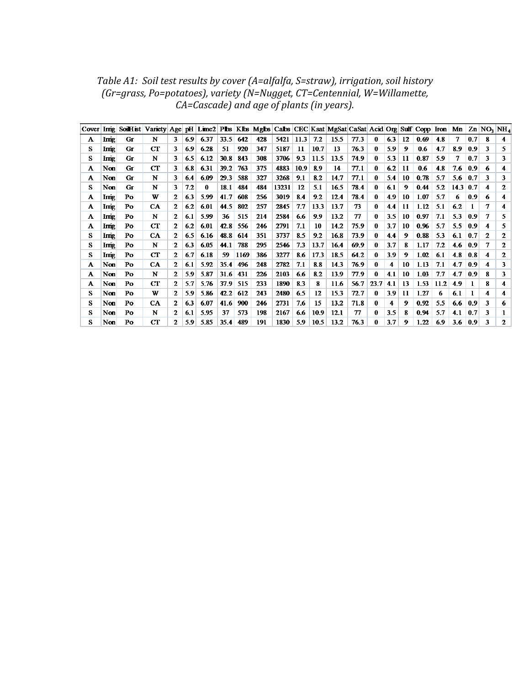Table A1: Soil test results by cover (A=alfalfa, S=straw), irrigation, soil history *(Gr=grass,)Po=potatoes),)variety)(N=Nugget,)CT=Centennial,)W=Willamette,) CA=Cascade)* and age of plants (in years).

| Cover |              | Irrig SoilHist Variety Age pH Lime2 Pbs Klbs Mgbs Cabs CEC Ksat MgSat CaSat Acid Org Sulf Copp Iron Mn |             |   |     |      |      |      |     |       |      |      |      |      |      |     |     |      |      |      |            | $Zn$ NO <sub>2</sub> NH <sub>4</sub> |              |
|-------|--------------|--------------------------------------------------------------------------------------------------------|-------------|---|-----|------|------|------|-----|-------|------|------|------|------|------|-----|-----|------|------|------|------------|--------------------------------------|--------------|
| A     | Irrig        | Gг                                                                                                     | N           | 3 | 69  | 6.37 | 33.5 | 642  | 428 | 5421  | 11.3 | 72   | 15.5 | 77.3 | 0    | 6.3 | 12  | 0.69 | 4.8  |      | 0.7        |                                      | 4            |
| s     | Irrig        | Gг                                                                                                     | $_{\rm CT}$ |   | 6.9 | 6.28 | 51   | 920  | 347 | 5187  | 11   | 10.7 | 13   | 76.3 | 0    | 5.9 | 9   | 0.6  | 4.7  | 8.9  | 0.9        | ٦                                    | 5.           |
| s     | <b>Irrig</b> | Gг                                                                                                     | N           |   | 65  | 6.12 | 30.8 | 843  | 308 | 3706  | 9.3  | 11.5 | 13.5 | 74.9 | 0    | 5.3 | 11  | 0.87 | 5.9  |      | 0.7        | з                                    | 3            |
| A     | Non          | Ġг                                                                                                     | $_{\rm CT}$ | 3 | 6.8 | 6.31 | 39.2 | 763  | 375 | 4883  | 10.9 | 8.9  | 14   | 77.1 | 0    | 6.2 | 11  | 0.6  | 4.8  | 7.6  | 0.9        | 6                                    | 4            |
| A     | Non          | Gг                                                                                                     | N           | 3 | 6.4 | 6.09 | 29.3 | 588  | 327 | 3268  | 9.1  | 8.2  | 14.7 | 77.1 | 0    | 5.4 | 10  | 0.78 | 5.7  | 5.6  | 0.7        | 3                                    | 3            |
| s     | Non          | Ġг                                                                                                     | N           | 3 | 7.2 | 0    | 18.1 | 484  | 484 | 13231 | 12   | 5.1  | 16.5 | 78.4 | 0    | 6.1 | 9   | 0.44 | 5.2  | 14.3 | $\bm{0.7}$ | 4                                    | 2            |
| А     | Irrig        | Po                                                                                                     | W           |   | 6.3 | 5.99 | 41.7 | 608  | 256 | 3019  | 8.4  | 9.2  | 12.4 | 78.4 | 0    | 4.9 | 10  | 1.07 | 5.7  | 6    | 0.9        | 6                                    | 4            |
| A     | Irng         | Po                                                                                                     | <b>CA</b>   |   | 6.2 | 6.01 | 44.5 | 802  | 257 | 2845  | 7.7  | 13.3 | 13.7 | 73   | 0    | 4.4 | -11 | 1.12 | 5.1  | 6.2  |            |                                      | 4            |
| A     | Inig         | Po                                                                                                     | N           |   | 6.1 | 5.99 | 36   | 515  | 214 | 2584  | 6.6  | 9.9  | 13.2 | 77   | 0    | 3.5 | 10  | 0.97 | 7.1  | 5.3  | 0.9        |                                      | 5            |
| A     | <b>Irng</b>  | Po                                                                                                     | CT          | 2 | 6.2 | 6.01 | 42.8 | 556  | 246 | 2791  | 7.1  | 10   | 14.2 | 75.9 | 0    | 3.7 | 10  | 0.96 | 5.7  | 5.5  | 0.9        | 4                                    | 5            |
| s     | Irrig        | Po                                                                                                     | <b>CA</b>   |   | 6.5 | 6.16 | 48.8 | 614  | 351 | 3737  | 8.5  | 9.2  | 16.8 | 73.9 | 0    | 4.4 | 9   | 0.88 | 5.3  | 6.1  | 0.7        | 2                                    | 2            |
| s     | <b>Irrig</b> | Po                                                                                                     | N           |   | 63  | 6.05 | 44.1 | 788  | 295 | 2546  | 73   | 13.7 | 16.4 | 69.9 | 0    | 3.7 | 8   | 1.17 | 7.2  | 46   | 0.9        |                                      | $\mathbf{2}$ |
| s     | Irrig        | Po                                                                                                     | CT          |   | 6.7 | 6.18 | 59   | 1169 | 386 | 3277  | 8.6  | 17.3 | 18.5 | 64.2 | 0    | 3.9 | 9   | 1.02 | 6.1  | 4.8  | 0.8        | 4                                    | 2            |
| A     | Non          | Po                                                                                                     | <b>CA</b>   |   | 6.1 | 5.92 | 35.4 | 496  | 248 | 2782  | 7.1  | 88   | 14.3 | 76.9 | 0    | 4   | 10  | 1.13 | 7.1  | 4.7  | 0.9        |                                      | 3            |
| A     | Non          | Po                                                                                                     | N           |   | 59  | 5.87 | 31.6 | 431  | 226 | 2103  | 6.6  | 8.2  | 13.9 | 77.9 | 0    | 4.1 | -10 | 1.03 | 7.7  | 4.7  | -0.9       | 8                                    | 3            |
| A     | Non          | Po                                                                                                     | CT          |   | 5.7 | 5.76 | 37.9 | 515  | 233 | 1890  | 8.3  | 8    | 11.6 | 56.7 | 23.7 | 4.1 | 13  | 1.53 | 11.2 | 4.9  |            |                                      | 4            |
| s     | Non          | Po                                                                                                     | W           |   | 59  | 5.86 | 42.2 | 612  | 243 | 2480  | 6.5  | 12   | 15.3 | 72.7 | 0    | 3.9 | 11  | 1.27 | 6    | 6.1  |            | 4                                    | 4            |
| s     | Non          | Po                                                                                                     | CA.         |   | 6.3 | 6.07 | 41.6 | 900  | 246 | 2731  | 7.6  | 15   | 13.2 | 71.8 | 0    | 4   | 9   | 0.92 | 5.5  | 6.6  | 0.9        | 3                                    | 6            |
| s     | Non          | Po                                                                                                     | N           | 2 | 6.1 | 5.95 | 37   | 573  | 198 | 2167  | 6.6  | 10.9 | 12.1 | 77   | 0    | 3.5 | 8   | 0.94 | 5.7  | 4.1  | 0.7        | з                                    |              |
| s     | Non          | Po                                                                                                     | <b>CT</b>   |   | 5.9 | 5.85 | 35.4 | 489  | 191 | 1830  | 5.9  | 10.5 | 13.2 | 76.3 | 0    | 3.7 | 9   | 1.22 | 6.9  | 3.6  | 0.9        | ٦                                    | 2            |